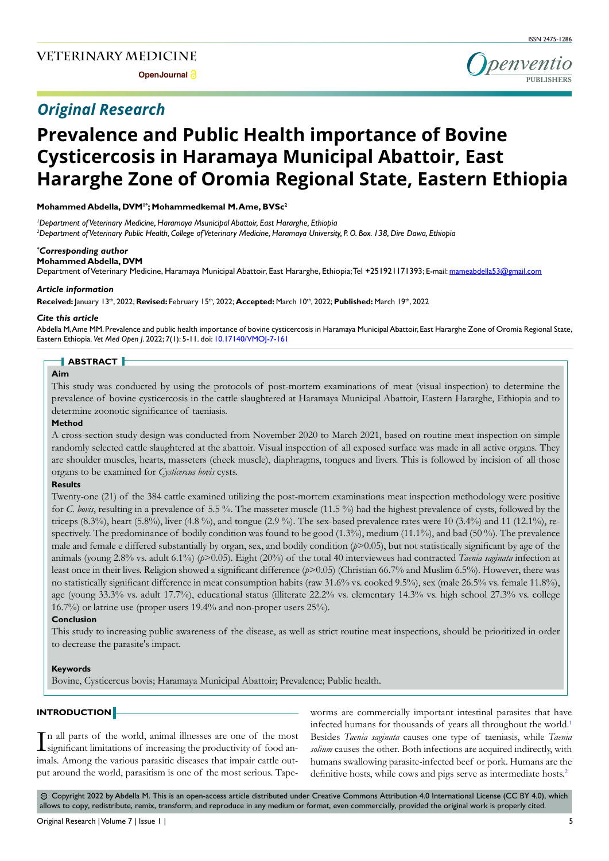**Open Journal** 

# *Original Research*

# **Prevalence and Public Health importance of Bovine Cysticercosis in Haramaya Municipal Abattoir, East Hararghe Zone of Oromia Regional State, Eastern Ethiopia**

**Mohammed Abdella, DVM1\*; Mohammedkemal M. Ame, BVSc2**

*1 Department of Veterinary Medicine, Haramaya Msunicipal Abattoir, East Hararghe, Ethiopia 2 Department of Veterinary Public Health, College of Veterinary Medicine, Haramaya University, P. O. Box. 138, Dire Dawa, Ethiopia*

# *\* Corresponding author*

# **Mohammed Abdella, DVM**

Department of Veterinary Medicine, Haramaya Municipal Abattoir, East Hararghe, Ethiopia; Tel +251921171393; E-mail: mameabdella53@gmail.com

# *Article information*

**Received:** January 13th, 2022; **Revised:** February 15th, 2022; **Accepted:** March 10th, 2022; **Published:** March 19th, 2022

# *Cite this article*

Abdella M, Ame MM. Prevalence and public health importance of bovine cysticercosis in Haramaya Municipal Abattoir, East Hararghe Zone of Oromia Regional State, Eastern Ethiopia. *Vet Med Open J*. 2022; 7(1): 5-11. doi: [10.17140/VMOJ-7-161](http://dx.doi.org/10.17140/VMOJ-7-161)

### **ABSTRACT**

# **Aim**

This study was conducted by using the protocols of post-mortem examinations of meat (visual inspection) to determine the prevalence of bovine cysticercosis in the cattle slaughtered at Haramaya Municipal Abattoir, Eastern Hararghe, Ethiopia and to determine zoonotic significance of taeniasis.

#### **Method**

A cross-section study design was conducted from November 2020 to March 2021, based on routine meat inspection on simple randomly selected cattle slaughtered at the abattoir. Visual inspection of all exposed surface was made in all active organs. They are shoulder muscles, hearts, masseters (cheek muscle), diaphragms, tongues and livers. This is followed by incision of all those organs to be examined for *Cysticercus bovis* cysts.

#### **Results**

Twenty-one (21) of the 384 cattle examined utilizing the post-mortem examinations meat inspection methodology were positive for *C. bovis*, resulting in a prevalence of 5.5 %. The masseter muscle (11.5 %) had the highest prevalence of cysts, followed by the triceps  $(8.3\%)$ , heart  $(5.8\%)$ , liver  $(4.8\%)$ , and tongue  $(2.9\%)$ . The sex-based prevalence rates were 10  $(3.4\%)$  and 11  $(12.1\%)$ , respectively. The predominance of bodily condition was found to be good (1.3%), medium (11.1%), and bad (50 %). The prevalence male and female e differed substantially by organ, sex, and bodily condition (*p*>0.05), but not statistically significant by age of the animals (young 2.8% vs. adult 6.1%) (*p*>0.05). Eight (20%) of the total 40 interviewees had contracted *Taenia saginata* infection at least once in their lives. Religion showed a significant difference (*p*>0.05) (Christian 66.7% and Muslim 6.5%). However, there was no statistically significant difference in meat consumption habits (raw 31.6% vs. cooked 9.5%), sex (male 26.5% vs. female 11.8%), age (young 33.3% vs. adult 17.7%), educational status (illiterate 22.2% vs. elementary 14.3% vs. high school 27.3% vs. college 16.7%) or latrine use (proper users 19.4% and non-proper users 25%).

#### **Conclusion**

This study to increasing public awareness of the disease, as well as strict routine meat inspections, should be prioritized in order to decrease the parasite's impact.

#### **Keywords**

Bovine, Cysticercus bovis; Haramaya Municipal Abattoir; Prevalence; Public health.

# **INTRODUCTION**

In all parts of the world, animal illnesses are one of the most<br>significant limitations of increasing the productivity of food ann all parts of the world, animal illnesses are one of the most imals. Among the various parasitic diseases that impair cattle output around the world, parasitism is one of the most serious. Tape-

worms are commercially important intestinal parasites that have infected humans for thousands of years all throughout the world.<sup>[1](#page-5-0)</sup> Besides *Taenia saginata* causes one type of taeniasis, while *Taenia solium* causes the other. Both infections are acquired indirectly, with humans swallowing parasite-infected beef or pork. Humans are the definitive hosts, while cows and pigs serve as intermediate hosts.<sup>[2](#page-5-1)</sup>

 $\circledcirc$  Copyright 2022 by Abdella M. This is an open-access article distributed under Creative Commons Attribution 4.0 International License (CC BY 4.0), which allows to copy, redistribute, remix, transform, and reproduce in any medium or format, even commercially, provided the original work is properly cited.

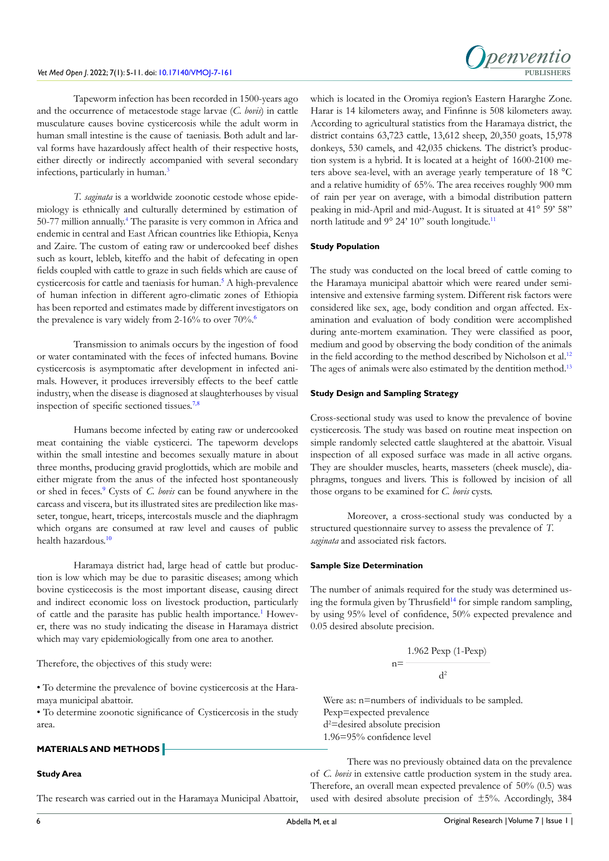Tapeworm infection has been recorded in 1500-years ago and the occurrence of metacestode stage larvae (*C. bovis*) in cattle musculature causes bovine cysticercosis while the adult worm in human small intestine is the cause of taeniasis. Both adult and larval forms have hazardously affect health of their respective hosts, either directly or indirectly accompanied with several secondary infections, particularly in human.[3](#page-5-2)

*T. saginata* is a worldwide zoonotic cestode whose epidemiology is ethnically and culturally determined by estimation of 50-77 million annually.[4](#page-5-3) The parasite is very common in Africa and endemic in central and East African countries like Ethiopia, Kenya and Zaire. The custom of eating raw or undercooked beef dishes such as kourt, lebleb, kiteffo and the habit of defecating in open fields coupled with cattle to graze in such fields which are cause of cysticercosis for cattle and taeniasis for human.<sup>[5](#page-5-4)</sup> A high-prevalence of human infection in different agro-climatic zones of Ethiopia has been reported and estimates made by different investigators on the prevalence is vary widely from 2-1[6](#page-5-5)% to over 70%.<sup>6</sup>

Transmission to animals occurs by the ingestion of food or water contaminated with the feces of infected humans. Bovine cysticercosis is asymptomatic after development in infected animals. However, it produces irreversibly effects to the beef cattle industry, when the disease is diagnosed at slaughterhouses by visual inspection of specific sectioned tissues.[7,8](#page-5-6)

Humans become infected by eating raw or undercooked meat containing the viable cysticerci. The tapeworm develops within the small intestine and becomes sexually mature in about three months, producing gravid proglottids, which are mobile and either migrate from the anus of the infected host spontaneously or shed in feces.[9](#page-5-7) Cysts of *C. bovis* can be found anywhere in the carcass and viscera, but its illustrated sites are predilection like masseter, tongue, heart, triceps, intercostals muscle and the diaphragm which organs are consumed at raw level and causes of public health hazardous.[10](#page-5-8)

Haramaya district had, large head of cattle but production is low which may be due to parasitic diseases; among which bovine cysticecosis is the most important disease, causing direct and indirect economic loss on livestock production, particularly of cattle and the parasite has public health importance.<sup>[1](#page-5-0)</sup> However, there was no study indicating the disease in Haramaya district which may vary epidemiologically from one area to another.

Therefore, the objectives of this study were:

• To determine the prevalence of bovine cysticercosis at the Haramaya municipal abattoir.

• To determine zoonotic significance of Cysticercosis in the study area.

# **MATERIALS AND METHODS**

### **Study Area**

The research was carried out in the Haramaya Municipal Abattoir,

which is located in the Oromiya region's Eastern Hararghe Zone. Harar is 14 kilometers away, and Finfinne is 508 kilometers away. According to agricultural statistics from the Haramaya district, the district contains 63,723 cattle, 13,612 sheep, 20,350 goats, 15,978 donkeys, 530 camels, and 42,035 chickens. The district's production system is a hybrid. It is located at a height of 1600-2100 meters above sea-level, with an average yearly temperature of 18 °C and a relative humidity of 65%. The area receives roughly 900 mm of rain per year on average, with a bimodal distribution pattern peaking in mid-April and mid-August. It is situated at 41° 59' 58" north latitude and 9° 24' 10" south longitude.<sup>[11](#page-5-9)</sup>

#### **Study Population**

The study was conducted on the local breed of cattle coming to the Haramaya municipal abattoir which were reared under semiintensive and extensive farming system. Different risk factors were considered like sex, age, body condition and organ affected. Examination and evaluation of body condition were accomplished during ante-mortem examination. They were classified as poor, medium and good by observing the body condition of the animals in the field according to the method described by Nicholson et al.<sup>[12](#page-5-10)</sup> The ages of animals were also estimated by the dentition method.<sup>[13](#page-5-11)</sup>

#### **Study Design and Sampling Strategy**

Cross-sectional study was used to know the prevalence of bovine cysticercosis. The study was based on routine meat inspection on simple randomly selected cattle slaughtered at the abattoir. Visual inspection of all exposed surface was made in all active organs. They are shoulder muscles, hearts, masseters (cheek muscle), diaphragms, tongues and livers. This is followed by incision of all those organs to be examined for *C. bovis* cysts.

Moreover, a cross-sectional study was conducted by a structured questionnaire survey to assess the prevalence of *T. saginata* and associated risk factors.

#### **Sample Size Determination**

The number of animals required for the study was determined us-ing the formula given by Thrusfield<sup>[14](#page-5-12)</sup> for simple random sampling, by using 95% level of confidence, 50% expected prevalence and 0.05 desired absolute precision.

$$
n = \frac{1.962 \text{ Pexp} (1 - \text{Pexp})}{d^2}
$$

Were as: n=numbers of individuals to be sampled. Pexp=expected prevalence d2 =desired absolute precision 1.96=95% confidence level

There was no previously obtained data on the prevalence of *C. bovis* in extensive cattle production system in the study area. Therefore, an overall mean expected prevalence of 50% (0.5) was used with desired absolute precision of  $\pm 5\%$ . Accordingly, 384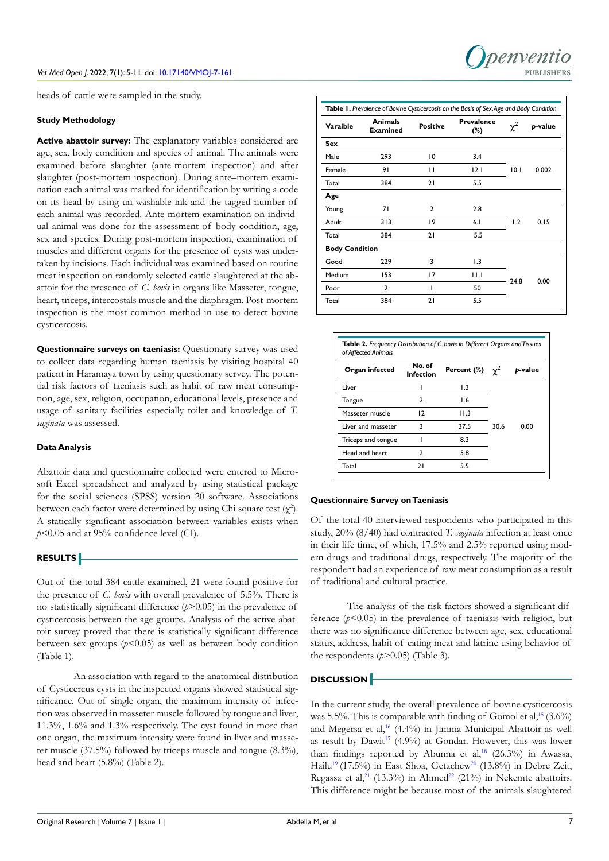heads of cattle were sampled in the study.

#### **Study Methodology**

**Active abattoir survey:** The explanatory variables considered are age, sex, body condition and species of animal. The animals were examined before slaughter (ante-mortem inspection) and after slaughter (post-mortem inspection). During ante–mortem examination each animal was marked for identification by writing a code on its head by using un-washable ink and the tagged number of each animal was recorded. Ante-mortem examination on individual animal was done for the assessment of body condition, age, sex and species. During post-mortem inspection, examination of muscles and different organs for the presence of cysts was undertaken by incisions. Each individual was examined based on routine meat inspection on randomly selected cattle slaughtered at the abattoir for the presence of *C. bovis* in organs like Masseter, tongue, heart, triceps, intercostals muscle and the diaphragm. Post-mortem inspection is the most common method in use to detect bovine cysticercosis.

**Questionnaire surveys on taeniasis:** Questionary survey was used to collect data regarding human taeniasis by visiting hospital 40 patient in Haramaya town by using questionary servey. The potential risk factors of taeniasis such as habit of raw meat consumption, age, sex, religion, occupation, educational levels, presence and usage of sanitary facilities especially toilet and knowledge of *T. saginata* was assessed.

#### **Data Analysis**

Abattoir data and questionnaire collected were entered to Microsoft Excel spreadsheet and analyzed by using statistical package for the social sciences (SPSS) version 20 software. Associations between each factor were determined by using Chi square test  $(\chi^2)$ . A statically significant association between variables exists when *p*<0.05 and at 95% confidence level (CI).

# **RESULTS**

Out of the total 384 cattle examined, 21 were found positive for the presence of *C. bovis* with overall prevalence of 5.5%. There is no statistically significant difference (*p*>0.05) in the prevalence of cysticercosis between the age groups. Analysis of the active abattoir survey proved that there is statistically significant difference between sex groups  $(p<0.05)$  as well as between body condition (Table 1).

An association with regard to the anatomical distribution of Cysticercus cysts in the inspected organs showed statistical significance. Out of single organ, the maximum intensity of infection was observed in masseter muscle followed by tongue and liver, 11.3%, 1.6% and 1.3% respectively. The cyst found in more than one organ, the maximum intensity were found in liver and masseter muscle (37.5%) followed by triceps muscle and tongue (8.3%), head and heart (5.8%) (Table 2).

|                       |                                   |                 | Table 1. Prevalence of Bovine Cysticercosis on the Basis of Sex, Age and Body Condition |          |         |
|-----------------------|-----------------------------------|-----------------|-----------------------------------------------------------------------------------------|----------|---------|
| Varaible              | <b>Animals</b><br><b>Examined</b> | <b>Positive</b> | Prevalence<br>$(\%)$                                                                    | $\chi^2$ | p-value |
| Sex                   |                                   |                 |                                                                                         |          |         |
| Male                  | 293                               | $\overline{0}$  | 3.4                                                                                     |          |         |
| Female                | 91                                | П               | 2.1                                                                                     | 10.1     | 0.002   |
| Total                 | 384                               | 21              | 5.5                                                                                     |          |         |
| Age                   |                                   |                 |                                                                                         |          |         |
| Young                 | 71                                | $\overline{2}$  | 2.8                                                                                     |          |         |
| Adult                 | 313                               | 19              | 6.1                                                                                     | 1.2      | 0.15    |
| Total                 | 384                               | 21              | 5.5                                                                                     |          |         |
| <b>Body Condition</b> |                                   |                 |                                                                                         |          |         |
| Good                  | 229                               | 3               | 1.3                                                                                     |          |         |
| Medium                | 153                               | 17              | ПJ                                                                                      |          |         |
| Poor                  | $\overline{2}$                    | ı               | 50                                                                                      | 24.8     | 0.00    |
| Total                 | 384                               | 21              | 5.5                                                                                     |          |         |

| Organ infected     | No. of<br><b>Infection</b> | Percent (%) | $\chi^2$ | b-value |
|--------------------|----------------------------|-------------|----------|---------|
| Liver              |                            | 1.3         |          |         |
| Tongue             | $\mathcal{P}$              | I.6         |          |         |
| Masseter muscle    | $\overline{2}$             | 11.3        |          |         |
| Liver and masseter | 3                          | 37.5        | 30.6     | 0.00    |
| Triceps and tongue |                            | 8.3         |          |         |
| Head and heart     | 2                          | 5.8         |          |         |
| Total              | 21                         | 5.5         |          |         |

#### **Questionnaire Survey on Taeniasis**

Of the total 40 interviewed respondents who participated in this study, 20% (8/40) had contracted *T. saginata* infection at least once in their life time, of which, 17.5% and 2.5% reported using modern drugs and traditional drugs, respectively. The majority of the respondent had an experience of raw meat consumption as a result of traditional and cultural practice.

The analysis of the risk factors showed a significant difference  $(p<0.05)$  in the prevalence of taeniasis with religion, but there was no significance difference between age, sex, educational status, address, habit of eating meat and latrine using behavior of the respondents  $(p>0.05)$  (Table 3).

# **DISCUSSION**

In the current study, the overall prevalence of bovine cysticercosis was 5.5%. This is comparable with finding of Gomol et al,<sup>15</sup> (3.6%) and Megersa et al,<sup>[16](#page-5-14)</sup> (4.4%) in Jimma Municipal Abattoir as well as result by  $Dawit^{17}$  $Dawit^{17}$  $Dawit^{17}$  (4.9%) at Gondar. However, this was lower than findings reported by Abunna et al,<sup>[18](#page-5-16)</sup> (26.3%) in Awassa, Hailu<sup>[19](#page-5-17)</sup> (17.5%) in East Shoa, Getachew<sup>20</sup> (13.8%) in Debre Zeit, Regassa et al,<sup>[21](#page-5-19)</sup> (13.3%) in Ahmed<sup>[22](#page-5-20)</sup> (21%) in Nekemte abattoirs. This difference might be because most of the animals slaughtered

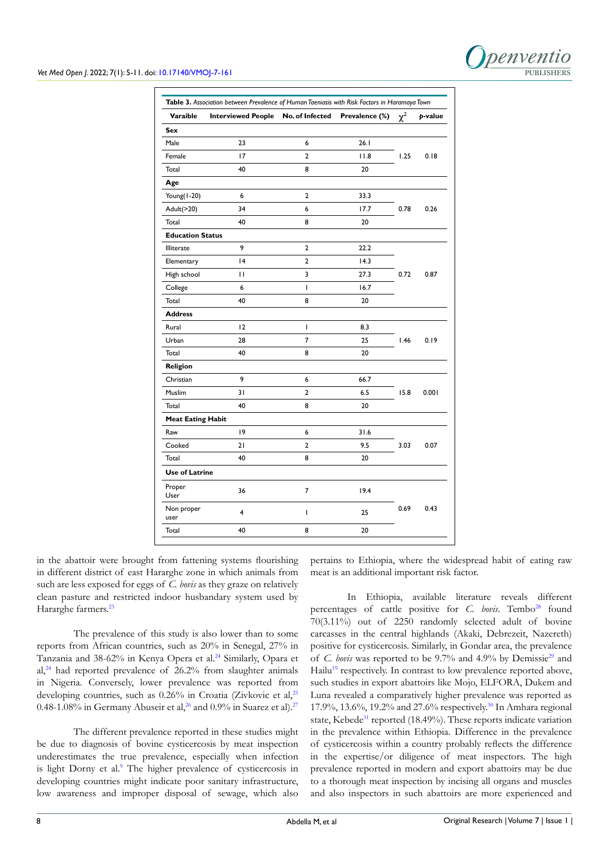

| Varaible                 | <b>Interviewed People</b> | No. of Infected | Prevalence (%) | $\chi^2$ | p-value |
|--------------------------|---------------------------|-----------------|----------------|----------|---------|
| Sex                      |                           |                 |                |          |         |
| Male                     | 23                        | 6               | 26.1           |          |         |
| Female                   | 17                        | $\overline{2}$  | 11.8           | 1.25     | 0.18    |
| Total                    | 40                        | 8               | 20             |          |         |
| Age                      |                           |                 |                |          |         |
| Young(1-20)              | 6                         | $\overline{2}$  | 33.3           |          | 0.26    |
| Adult(>20)               | 34                        | 6               | 17.7           | 0.78     |         |
| Total                    | 40                        | 8               | 20             |          |         |
| <b>Education Status</b>  |                           |                 |                |          |         |
| Illiterate               | 9                         | 2               | 22.2           |          |         |
| Elementary               | 4                         | 2               | 14.3           |          |         |
| High school              | П                         | 3               | 27.3           | 0.72     | 0.87    |
| College                  | 6                         | L               | 16.7           |          |         |
| Total                    | 40                        | 8               | 20             |          |         |
| <b>Address</b>           |                           |                 |                |          |         |
| Rural                    | 12                        | I               | 8.3            |          |         |
| Urban                    | 28                        | 7               | 25             | 1.46     | 0.19    |
| Total                    | 40                        | 8               | 20             |          |         |
| Religion                 |                           |                 |                |          |         |
| Christian                | 9                         | 6               | 66.7           |          |         |
| Muslim                   | 31                        | $\overline{2}$  | 6.5            | 15.8     | 0.001   |
| Total                    | 40                        | 8               | 20             |          |         |
| <b>Meat Eating Habit</b> |                           |                 |                |          |         |
| Raw                      | 19                        | 6               | 31.6           |          |         |
| Cooked                   | 21                        | $\overline{2}$  | 9.5            | 3.03     | 0.07    |
| Total                    | 40                        | 8               | 20             |          |         |
| <b>Use of Latrine</b>    |                           |                 |                |          |         |
| Proper<br>User           | 36                        | 7               | 19.4           |          |         |
| Non proper<br>user       | 4                         | T               | 25             | 0.69     | 0.43    |
| Total                    | 40                        | 8               | 20             |          |         |

in the abattoir were brought from fattening systems flourishing in different district of east Hararghe zone in which animals from such are less exposed for eggs of *C. bovis* as they graze on relatively clean pasture and restricted indoor husbandary system used by Hararghe farmers.<sup>23</sup>

The prevalence of this study is also lower than to some reports from African countries, such as 20% in Senegal, 27% in Tanzania and 38-62% in Kenya Opera et al.<sup>24</sup> Similarly, Opara et al, $24$  had reported prevalence of  $26.2%$  from slaughter animals in Nigeria. Conversely, lower prevalence was reported from developing countries, such as 0.26% in Croatia (Zivkovic et al,<sup>25</sup>) 0.48-1.08% in Germany Abuseir et al,<sup>26</sup> and 0.9% in Suarez et al).<sup>27</sup>

The different prevalence reported in these studies might be due to diagnosis of bovine cysticercosis by meat inspection underestimates the true prevalence, especially when infection is light Dorny et al.<sup>9</sup> The higher prevalence of cysticercosis in developing countries might indicate poor sanitary infrastructure, low awareness and improper disposal of sewage, which also

pertains to Ethiopia, where the widespread habit of eating raw meat is an additional important risk factor.

In Ethiopia, available literature reveals different percentages of cattle positive for *C. bovis*. Tembo<sup>[28](#page-6-3)</sup> found 70(3.11%) out of 2250 randomly selected adult of bovine carcasses in the central highlands (Akaki, Debrezeit, Nazereth) positive for cysticercosis. Similarly, in Gondar area, the prevalence of *C. bovis* was reported to be 9.7% and 4.9% by Demissie<sup>29</sup> and Hailu<sup>[19](#page-5-17)</sup> respectively. In contrast to low prevalence reported above, such studies in export abattoirs like Mojo, ELFORA, Dukem and Luna revealed a comparatively higher prevalence was reported as 17.9%, 13.6%, 19.2% and 27.6% respectively.[30](#page-6-5) In Amhara regional state, Kebede<sup>31</sup> reported (18.49%). These reports indicate variation in the prevalence within Ethiopia. Difference in the prevalence of cysticercosis within a country probably reflects the difference in the expertise/or diligence of meat inspectors. The high prevalence reported in modern and export abattoirs may be due to a thorough meat inspection by incising all organs and muscles and also inspectors in such abattoirs are more experienced and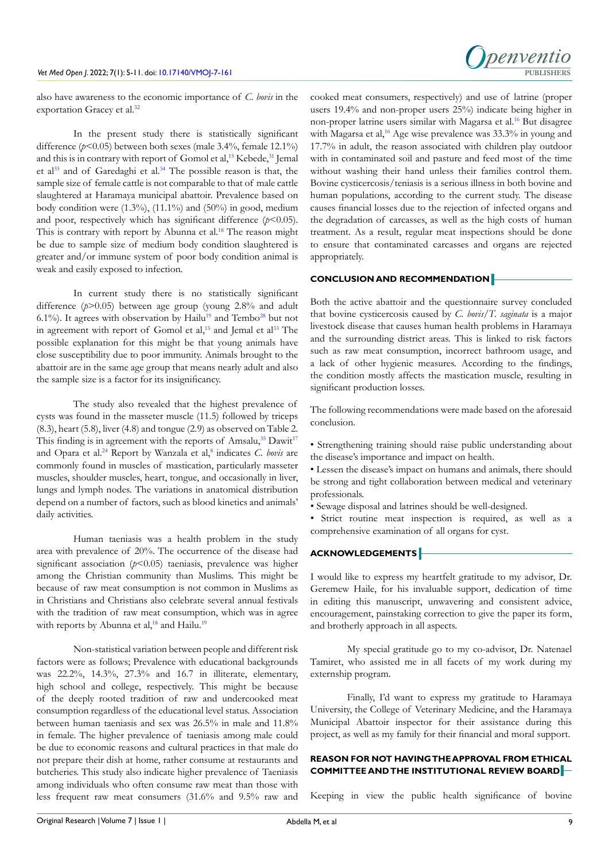Denventio

also have awareness to the economic importance of *C. bovis* in the exportation Gracey et al.<sup>32</sup>

In the present study there is statistically significant difference ( $p$ <0.05) between both sexes (male 3.4%, female 12.1%) and this is in contrary with report of Gomol et al,<sup>15</sup> Kebede,<sup>[31](#page-6-6)</sup> Jemal et al<sup>[33](#page-6-8)</sup> and of Garedaghi et al.<sup>34</sup> The possible reason is that, the sample size of female cattle is not comparable to that of male cattle slaughtered at Haramaya municipal abattoir. Prevalence based on body condition were  $(1.3\%)$ ,  $(11.1\%)$  and  $(50\%)$  in good, medium and poor, respectively which has significant difference ( $p$ <0.05). This is contrary with report by Abunna et al.<sup>18</sup> The reason might be due to sample size of medium body condition slaughtered is greater and/or immune system of poor body condition animal is weak and easily exposed to infection.

In current study there is no statistically significant difference (*p*>0.05) between age group (young 2.8% and adult 6.1%). It agrees with observation by Hailu<sup>19</sup> and Tembo<sup>28</sup> but not in agreement with report of Gomol et al,<sup>15</sup> and Jemal et al<sup>33</sup> The possible explanation for this might be that young animals have close susceptibility due to poor immunity. Animals brought to the abattoir are in the same age group that means nearly adult and also the sample size is a factor for its insignificancy.

The study also revealed that the highest prevalence of cysts was found in the masseter muscle (11.5) followed by triceps (8.3), heart (5.8), liver (4.8) and tongue (2.9) as observed on Table 2. This finding is in agreement with the reports of Amsalu, $35$  Dawit<sup>17</sup> and Opara et al.<sup>[24](#page-5-22)</sup> Report by Wanzala et al,<sup>[8](#page-5-23)</sup> indicates *C. bovis* are commonly found in muscles of mastication, particularly masseter muscles, shoulder muscles, heart, tongue, and occasionally in liver, lungs and lymph nodes. The variations in anatomical distribution depend on a number of factors, such as blood kinetics and animals' daily activities.

Human taeniasis was a health problem in the study area with prevalence of 20%. The occurrence of the disease had significant association (*p*<0.05) taeniasis, prevalence was higher among the Christian community than Muslims. This might be because of raw meat consumption is not common in Muslims as in Christians and Christians also celebrate several annual festivals with the tradition of raw meat consumption, which was in agree with reports by Abunna et al,<sup>[18](#page-5-16)</sup> and Hailu.<sup>[19](#page-5-17)</sup>

Non-statistical variation between people and different risk factors were as follows; Prevalence with educational backgrounds was 22.2%, 14.3%, 27.3% and 16.7 in illiterate, elementary, high school and college, respectively. This might be because of the deeply rooted tradition of raw and undercooked meat consumption regardless of the educational level status. Association between human taeniasis and sex was 26.5% in male and 11.8% in female. The higher prevalence of taeniasis among male could be due to economic reasons and cultural practices in that male do not prepare their dish at home, rather consume at restaurants and butcheries. This study also indicate higher prevalence of Taeniasis among individuals who often consume raw meat than those with less frequent raw meat consumers (31.6% and 9.5% raw and

cooked meat consumers, respectively) and use of latrine (proper users 19.4% and non-proper users 25%) indicate being higher in non-proper latrine users similar with Magarsa et al.<sup>[16](#page-5-14)</sup> But disagree with Magarsa et al,<sup>[16](#page-5-14)</sup> Age wise prevalence was 33.3% in young and 17.7% in adult, the reason associated with children play outdoor with in contaminated soil and pasture and feed most of the time without washing their hand unless their families control them. Bovine cysticercosis/teniasis is a serious illness in both bovine and human populations, according to the current study. The disease causes financial losses due to the rejection of infected organs and the degradation of carcasses, as well as the high costs of human treatment. As a result, regular meat inspections should be done to ensure that contaminated carcasses and organs are rejected appropriately.

## **CONCLUSION AND RECOMMENDATION**

Both the active abattoir and the questionnaire survey concluded that bovine cysticercosis caused by *C. bovis*/*T. saginata* is a major livestock disease that causes human health problems in Haramaya and the surrounding district areas. This is linked to risk factors such as raw meat consumption, incorrect bathroom usage, and a lack of other hygienic measures. According to the findings, the condition mostly affects the mastication muscle, resulting in significant production losses.

The following recommendations were made based on the aforesaid conclusion.

• Strengthening training should raise public understanding about the disease's importance and impact on health.

• Lessen the disease's impact on humans and animals, there should be strong and tight collaboration between medical and veterinary professionals.

• Sewage disposal and latrines should be well-designed.

• Strict routine meat inspection is required, as well as a comprehensive examination of all organs for cyst.

#### **ACKNOWLEDGEMENTS**

I would like to express my heartfelt gratitude to my advisor, Dr. Geremew Haile, for his invaluable support, dedication of time in editing this manuscript, unwavering and consistent advice, encouragement, painstaking correction to give the paper its form, and brotherly approach in all aspects.

My special gratitude go to my co-advisor, Dr. Natenael Tamiret, who assisted me in all facets of my work during my externship program.

Finally, I'd want to express my gratitude to Haramaya University, the College of Veterinary Medicine, and the Haramaya Municipal Abattoir inspector for their assistance during this project, as well as my family for their financial and moral support.

# **REASON FOR NOT HAVING THE APPROVAL FROM ETHICAL COMMITTEE AND THE INSTITUTIONAL REVIEW BOARD**

Keeping in view the public health significance of bovine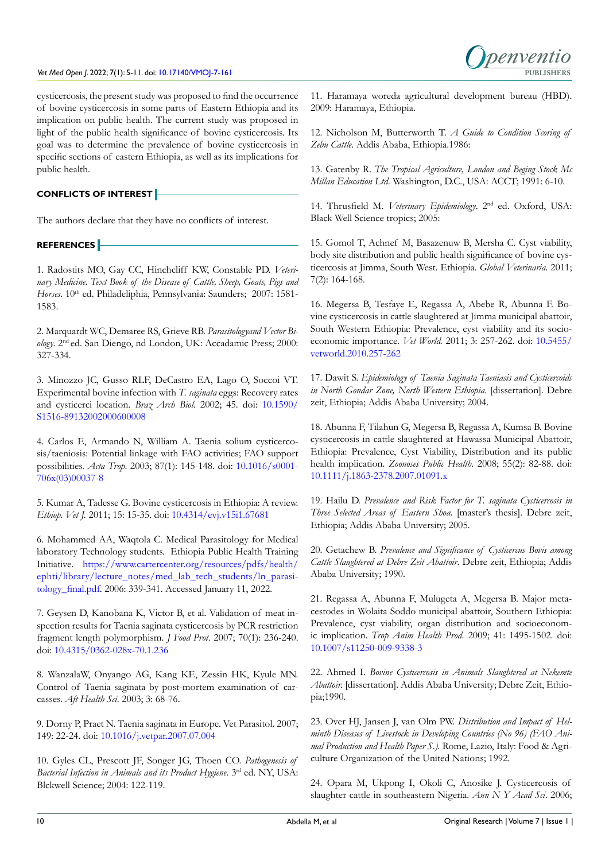#### *Vet Med Open J*. 2022; 7(1): 5-11. doi: [10.17140/VMOJ-7-161](http://dx.doi.org/10.17140/VMOJ-7-161) **PUBLISHERS**

cysticercosis, the present study was proposed to find the occurrence of bovine cysticercosis in some parts of Eastern Ethiopia and its implication on public health. The current study was proposed in light of the public health significance of bovine cysticercosis. Its goal was to determine the prevalence of bovine cysticercosis in specific sections of eastern Ethiopia, as well as its implications for public health.

# **CONFLICTS OF INTEREST**

The authors declare that they have no conflicts of interest.

### **REFERENCES**

<span id="page-5-0"></span>1. Radostits MO, Gay CC, Hinchcliff KW, Constable PD. *Veterinary Medicine. Text Book of the Disease of Cattle, Sheep, Goats, Pigs and Horses*. 10<sup>th</sup> ed. Philadeliphia, Pennsylvania: Saunders; 2007: 1581-1583.

<span id="page-5-1"></span>2. Marquardt WC, Demaree RS, Grieve RB. *Parasitologyand Vector Biology*. 2nd ed. San Diengo, nd London, UK: Accadamic Press; 2000: 327-334.

<span id="page-5-2"></span>3. Minozzo JC, Gusso RLF, DeCastro EA, Lago O, Soccoi VT. Experimental bovine infection with *T. saginata* eggs: Recovery rates and cysticerci location. *Braz Arch Biol.* 2002; 45. doi: [10.1590/](http://doi.org/10.1590/S1516-89132002000600008) [S1516-89132002000600008](http://doi.org/10.1590/S1516-89132002000600008)

<span id="page-5-3"></span>4. Carlos E, Armando N, William A. Taenia solium cysticercosis/taeniosis: Potential linkage with FAO activities; FAO support possibilities. *Acta Trop*. 2003; 87(1): 145-148. doi: [10.1016/s0001-](http://doi.org/10.1016/s0001-706x(03)00037-8) [706x\(03\)00037-8](http://doi.org/10.1016/s0001-706x(03)00037-8)

<span id="page-5-4"></span>5. Kumar A, Tadesse G. Bovine cysticercosis in Ethiopia: A review. *Ethiop. Vet J.* 2011; 15: 15-35. doi: [10.4314/evj.v15i1.67681](http://doi.org/10.4314/evj.v15i1.67681)

<span id="page-5-5"></span>6. Mohammed AA, Waqtola C. Medical Parasitology for Medical laboratory Technology students. Ethiopia Public Health Training Initiative. [https://www.cartercenter.org/resources/pdfs/health/](https://www.cartercenter.org/resources/pdfs/health/ephti/library/lecture_notes/med_lab_tech_students/ln_parasitology_final.pdf) [ephti/library/lecture\\_notes/med\\_lab\\_tech\\_students/ln\\_parasi](https://www.cartercenter.org/resources/pdfs/health/ephti/library/lecture_notes/med_lab_tech_students/ln_parasitology_final.pdf)[tology\\_final.pdf](https://www.cartercenter.org/resources/pdfs/health/ephti/library/lecture_notes/med_lab_tech_students/ln_parasitology_final.pdf). 2006: 339-341. Accessed January 11, 2022.

<span id="page-5-6"></span>7. Geysen D, Kanobana K, Victor B, et al. Validation of meat inspection results for Taenia saginata cysticercosis by PCR restriction fragment length polymorphism. *J Food Prot*. 2007; 70(1): 236-240. doi: [10.4315/0362-028x-70.1.236](http://doi.org/10.4315/0362-028x-70.1.236)

<span id="page-5-23"></span>8. WanzalaW, Onyango AG, Kang KE, Zessin HK, Kyule MN. Control of Taenia saginata by post-mortem examination of carcasses. *Aft Health Sci*. 2003; 3: 68-76.

<span id="page-5-7"></span>9. Dorny P, Praet N. Taenia saginata in Europe. Vet Parasitol. 2007; 149: 22-24. doi: [10.1016/j.vetpar.2007.07.004](http://doi.org/10.1016/j.vetpar.2007.07.004)

<span id="page-5-8"></span>10. Gyles CL, Prescott JF, Songer JG, Thoen CO. *Pathogenesis of Bacterial Infection in Animals and its Product Hygiene*. 3rd ed. NY, USA: Blckwell Science; 2004: 122-119.

<span id="page-5-9"></span>11. Haramaya woreda agricultural development bureau (HBD). 2009: Haramaya, Ethiopia.

<span id="page-5-10"></span>12. Nicholson M, Butterworth T. *A Guide to Condition Scoring of Zebu Cattle*. Addis Ababa, Ethiopia.1986:

<span id="page-5-11"></span>13. Gatenby R. *The Tropical Agriculture, London and Beging Stock Mc Millan Education Ltd*. Washington, D.C., USA: ACCT; 1991: 6-10.

<span id="page-5-12"></span>14. Thrusfield M. *Veterinary Epidemiology*. 2nd ed. Oxford, USA: Black Well Science tropics; 2005:

<span id="page-5-13"></span>15. Gomol T, Achnef M, Basazenuw B, Mersha C. Cyst viability, body site distribution and public health significance of bovine cysticercosis at Jimma, South West. Ethiopia. *Global Veterinaria*. 2011; 7(2): 164-168.

<span id="page-5-14"></span>16. Megersa B, Tesfaye E, Regassa A, Abebe R, Abunna F. Bovine cysticercosis in cattle slaughtered at Jimma municipal abattoir, South Western Ethiopia: Prevalence, cyst viability and its socioeconomic importance. *Vet World.* 2011; 3: 257-262. doi: [10.5455/](http://doi.org/10.5455/vetworld.2010.257-262) [vetworld.2010.257-262](http://doi.org/10.5455/vetworld.2010.257-262)

<span id="page-5-15"></span>17. Dawit S. *Epidemiology of Taenia Saginata Taeniasis and Cysticercoids in North Gondar Zone, North Western Ethiopia*. [dissertation]. Debre zeit, Ethiopia; Addis Ababa University; 2004.

<span id="page-5-16"></span>18. Abunna F, Tilahun G, Megersa B, Regassa A, Kumsa B. Bovine cysticercosis in cattle slaughtered at Hawassa Municipal Abattoir, Ethiopia: Prevalence, Cyst Viability, Distribution and its public health implication. *Zoonoses Public Health.* 2008; 55(2): 82-88. doi: [10.1111/j.1863-2378.2007.01091.x](http://doi.org/10.1111/j.1863-2378.2007.01091.x)

<span id="page-5-17"></span>19. Hailu D. *Prevalence and Risk Factor for T. saginata Cysticercosis in Three Selected Areas of Eastern Shoa*. [master's thesis]. Debre zeit, Ethiopia; Addis Ababa University; 2005.

<span id="page-5-18"></span>20. Getachew B. *Prevalence and Significance of Cysticercus Bovis among Cattle Slaughtered at Debre Zeit Abattoir*. Debre zeit, Ethiopia; Addis Ababa University; 1990.

<span id="page-5-19"></span>21. Regassa A, Abunna F, Mulugeta A, Megersa B. Major metacestodes in Wolaita Soddo municipal abattoir, Southern Ethiopia: Prevalence, cyst viability, organ distribution and socioeconomic implication. *Trop Anim Health Prod*. 2009; 41: 1495-1502. doi: [10.1007/s11250-009-9338-3](http://doi.org/10.1007/s11250-009-9338-3)

<span id="page-5-20"></span>22. Ahmed I. *Bovine Cysticercosis in Animals Slaughtered at Nekemte Abattoir.* [dissertation]. Addis Ababa University; Debre Zeit, Ethiopia;1990.

<span id="page-5-21"></span>23. Over HJ, Jansen J, van Olm PW. *Distribution and Impact of Helminth Diseases of Livestock in Developing Countries (No 96) (FAO Animal Production and Health Paper S.).* Rome, Lazio, Italy: Food & Agriculture Organization of the United Nations; 1992.

<span id="page-5-22"></span>24. Opara M, Ukpong I, Okoli C, Anosike J. Cysticercosis of slaughter cattle in southeastern Nigeria. *Ann N Y Acad Sci*. 2006;